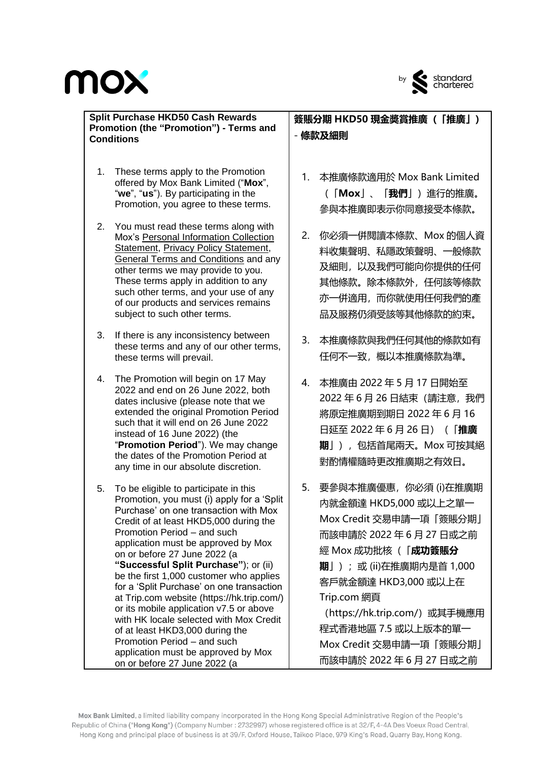

#### **Split Purchase HKD50 Cash Rewards Promotion (the "Promotion") - Terms and Conditions**

- 1. These terms apply to the Promotion offered by Mox Bank Limited ("**Mox**", "**we**", "**us**"). By participating in the Promotion, you agree to these terms.
- 2. You must read these terms along with Mox's [Personal Information Collection](https://mox.com/legal-documents/privacy/#pics)  [Statement,](https://mox.com/legal-documents/privacy/#pics) [Privacy Policy Statement,](https://mox.com/legal-documents/privacy/) [General Terms and Conditions](https://mox.com/legal-documents/general-terms-and-conditions/) and any other terms we may provide to you. These terms apply in addition to any such other terms, and your use of any of our products and services remains subject to such other terms.
- 3. If there is any inconsistency between these terms and any of our other terms, these terms will prevail.
- 4. The Promotion will begin on 17 May 2022 and end on 26 June 2022, both dates inclusive (please note that we extended the original Promotion Period such that it will end on 26 June 2022 instead of 16 June 2022) (the "**Promotion Period**"). We may change the dates of the Promotion Period at any time in our absolute discretion.
- 5. To be eligible to participate in this Promotion, you must (i) apply for a 'Split Purchase' on one transaction with Mox Credit of at least HKD5,000 during the Promotion Period – and such application must be approved by Mox on or before 27 June 2022 (a **"Successful Split Purchase"**); or (ii) be the first 1,000 customer who applies for a 'Split Purchase' on one transaction at Trip.com website (https://hk.trip.com/) or its mobile application v7.5 or above with HK locale selected with Mox Credit of at least HKD3,000 during the Promotion Period – and such application must be approved by Mox on or before 27 June 2022 (a

**簽賬分期 HKD50 現金奬賞推廣(「推廣」)** - **條款及細則**

- 1. 本推廣條款適用於 Mox Bank Limited (「**Mox**」、「**我們**」)進行的推廣。 參與本推廣即表示你同意接受本條款。
- 2. 你必須一併閱讀本條款、Mox [的個人資](https://mox.com/zh/legal-documents/privacy/#pics) [料收集聲明](https://mox.com/zh/legal-documents/privacy/#pics)[、私隱政策聲明、](https://mox.com/zh/legal-documents/privacy/)[一般條款](https://mox.com/zh/legal-documents/general-terms-and-conditions/) [及細則,](https://mox.com/zh/legal-documents/general-terms-and-conditions/)以及我們可能向你提供的任何 其他條款。除本條款外,任何該等條款 亦一併適用,而你就使用任何我們的產 品及服務仍須受該等其他條款的約束。
- 3. 本推廣條款與我們任何其他的條款如有 任何不一致,概以本推廣條款為準。
- 4. 本推廣由 2022 年 5 月 17 日開始至 2022 年 6 月 26 日結束(請注意,我們 將原定推廣期到期日 2022 年 6 月 16 日延至 2022 年 6 月 26 日)(「**推廣 期**」),包括首尾兩天。Mox 可按其絕 對酌情權隨時更改推廣期之有效日。
- 5. 要參與本推廣優惠,你必須 (i)在推廣期 內就金額達 HKD5,000 或以上之單一 Mox Credit 交易申請一項「簽賬分期」 而該申請於 2022 年 6 月 27 日或之前 經 Mox 成功批核(「**成功簽賬分 期**」);或 (ii)在推廣期內是首 1,000 客戶就金額達 HKD3,000 或以上在 Trip.com 網頁 (https://hk.trip.com/) 或其手機應用

程式香港地區 7.5 或以上版本的單一 Mox Credit 交易申請一項「簽賬分期」 而該申請於 2022 年 6 月 27 日或之前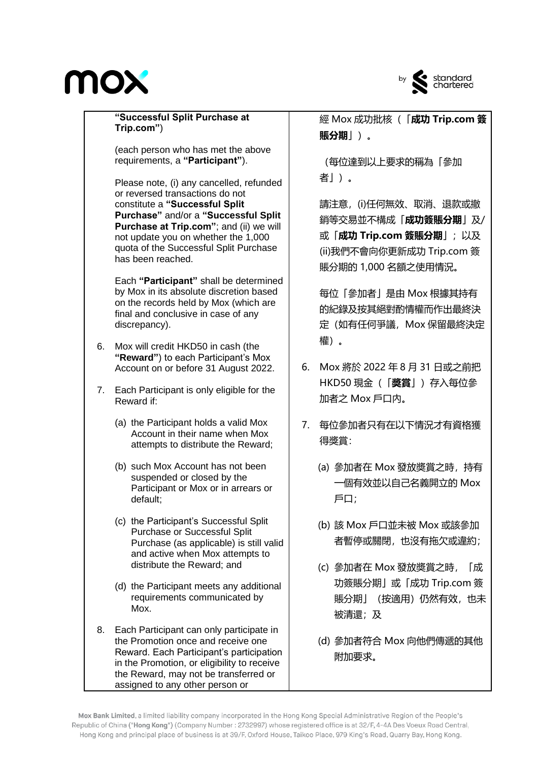

**"Successful Split Purchase at Trip.com"**)

(each person who has met the above requirements, a **"Participant"**).

Please note, (i) any cancelled, refunded or reversed transactions do not constitute a **"Successful Split Purchase"** and/or a **"Successful Split Purchase at Trip.com"**; and (ii) we will not update you on whether the 1,000 quota of the Successful Split Purchase has been reached.

Each **"Participant"** shall be determined by Mox in its absolute discretion based on the records held by Mox (which are final and conclusive in case of any discrepancy).

- 6. Mox will credit HKD50 in cash (the **"Reward"**) to each Participant's Mox Account on or before 31 August 2022.
- 7. Each Participant is only eligible for the Reward if:
	- (a) the Participant holds a valid Mox Account in their name when Mox attempts to distribute the Reward;
	- (b) such Mox Account has not been suspended or closed by the Participant or Mox or in arrears or default;
	- (c) the Participant's Successful Split Purchase or Successful Split Purchase (as applicable) is still valid and active when Mox attempts to distribute the Reward; and
	- (d) the Participant meets any additional requirements communicated by Mox.
- 8. Each Participant can only participate in the Promotion once and receive one Reward. Each Participant's participation in the Promotion, or eligibility to receive the Reward, may not be transferred or assigned to any other person or

經 Mox 成功批核(「**成功 Trip.com 簽 賬分期**」)。

(每位達到以上要求的稱為「參加 者」)。

請注意,(i)任何無效、取消、退款或撤 銷等交易並不構成「**成功簽賬分期**」及/ 或「**成功 Trip.com 簽賬分期**」;以及 (ii)我們不會向你更新成功 Trip.com 簽 賬分期的 1,000 名額之使用情況。

每位「參加者」是由 Mox 根據其持有 的紀錄及按其絕對酌情權而作出最終決 定(如有任何爭議,Mox 保留最終決定 權)。

- 6. Mox 將於 2022 年 8 月 31 日或之前把 HKD50 現金(「**奬賞**」)存入每位參 加者之 Mox 戶口內。
- 7. 每位參加者只有在以下情況才有資格獲 得獎賞:
	- (a) 參加者在 Mox 發放奬賞之時,持有 一個有效並以自己名義開立的 Mox 戶口;
	- (b) 該 Mox 戶口並未被 Mox 或該參加 者暫停或關閉,也沒有拖欠或違約;
	- (c) 參加者在 Mox 發放奬賞之時,「成 功簽賬分期」或「成功 Trip.com 簽 賬分期」(按適用)仍然有效,也未 被清還;及
	- (d) 參加者符合 Mox 向他們傳遞的其他 附加要求。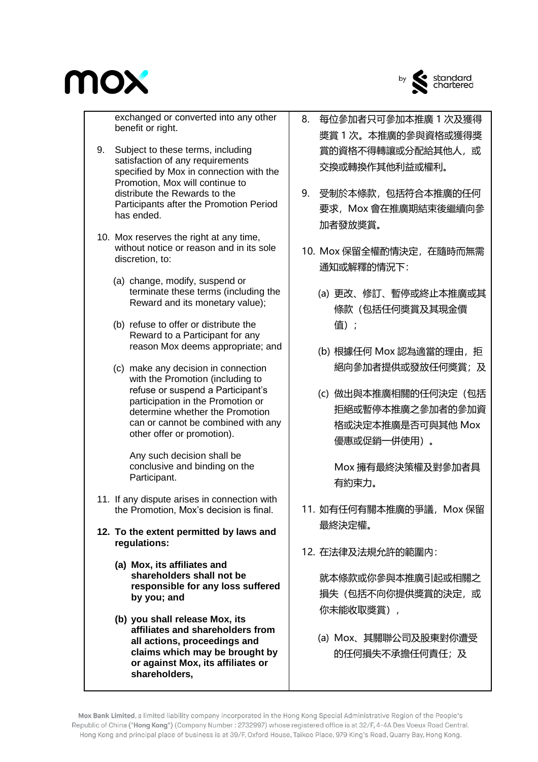

by standard<br>chartered

exchanged or converted into any other benefit or right.

- 9. Subject to these terms, including satisfaction of any requirements specified by Mox in connection with the Promotion, Mox will continue to distribute the Rewards to the Participants after the Promotion Period has ended.
- 10. Mox reserves the right at any time, without notice or reason and in its sole discretion, to:
	- (a) change, modify, suspend or terminate these terms (including the Reward and its monetary value);
	- (b) refuse to offer or distribute the Reward to a Participant for any reason Mox deems appropriate; and
	- (c) make any decision in connection with the Promotion (including to refuse or suspend a Participant's participation in the Promotion or determine whether the Promotion can or cannot be combined with any other offer or promotion).

Any such decision shall be conclusive and binding on the Participant.

- 11. If any dispute arises in connection with the Promotion, Mox's decision is final.
- **12. To the extent permitted by laws and regulations:**
	- **(a) Mox, its affiliates and shareholders shall not be responsible for any loss suffered by you; and**
	- **(b) you shall release Mox, its affiliates and shareholders from all actions, proceedings and claims which may be brought by or against Mox, its affiliates or shareholders,**
- 8. 每位參加者只可參加本推廣 1 次及獲得 奬賞 1 次。本推廣的參與資格或獲得獎 賞的資格不得轉讓或分配給其他人, 或 交換或轉換作其他利益或權利。
- 9. 受制於本條款,包括符合本推廣的任何 要求,Mox 會在推廣期結束後繼續向參 加者發放奬賞。
- 10. Mox 保留全權酌情決定,在隨時而無需 通知或解釋的情況下:
	- (a) 更改、修訂、暫停或終止本推廣或其 條款(包括任何奬賞及其現金價 值);
	- (b) 根據任何 Mox 認為適當的理由, 拒 絕向參加者提供或發放任何奬賞;及
	- (c) 做出與本推廣相關的任何決定(包括 拒絕或暫停本推廣之參加者的參加資 格或決定本推廣是否可與其他 Mox 優惠或促銷一併使用)。

Mox 擁有最終決策權及對參加者具 有約束力。

- 11. 如有任何有關本推廣的爭議, Mox 保留 最終決定權。
- 12. 在法律及法規允許的範圍內:

就本條款或你參與本推廣引起或相關之 損失(包括不向你提供獎賞的決定,或 你未能收取獎賞),

(a) Mox、其關聯公司及股東對你遭受 的任何損失不承擔任何責任;及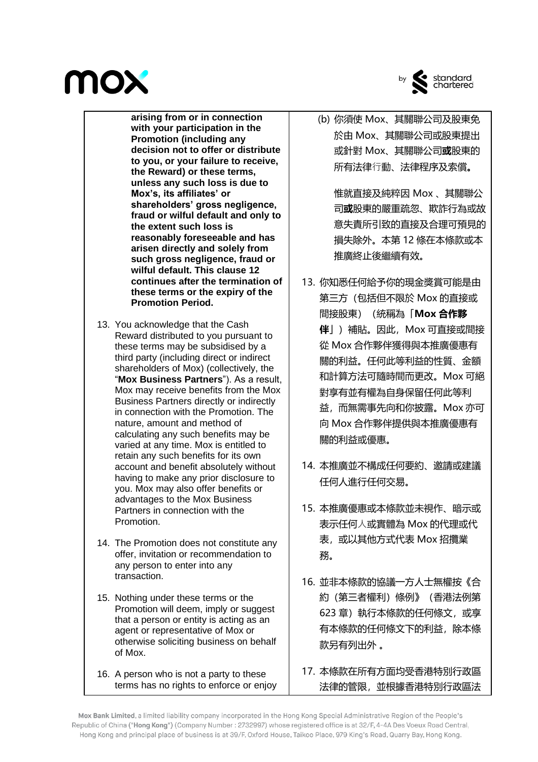

by standard<br>chartered

**arising from or in connection with your participation in the Promotion (including any decision not to offer or distribute to you, or your failure to receive, the Reward) or these terms, unless any such loss is due to Mox's, its affiliates' or shareholders' gross negligence, fraud or wilful default and only to the extent such loss is reasonably foreseeable and has arisen directly and solely from such gross negligence, fraud or wilful default. This clause 12 continues after the termination of these terms or the expiry of the Promotion Period.**

- 13. You acknowledge that the Cash Reward distributed to you pursuant to these terms may be subsidised by a third party (including direct or indirect shareholders of Mox) (collectively, the "**Mox Business Partners**"). As a result, Mox may receive benefits from the Mox Business Partners directly or indirectly in connection with the Promotion. The nature, amount and method of calculating any such benefits may be varied at any time. Mox is entitled to retain any such benefits for its own account and benefit absolutely without having to make any prior disclosure to you. Mox may also offer benefits or advantages to the Mox Business Partners in connection with the Promotion.
- 14. The Promotion does not constitute any offer, invitation or recommendation to any person to enter into any transaction.
- 15. Nothing under these terms or the Promotion will deem, imply or suggest that a person or entity is acting as an agent or representative of Mox or otherwise soliciting business on behalf of Mox.
- 16. A person who is not a party to these terms has no rights to enforce or enjoy

(b) 你須使 Mox、其關聯公司及股東免 於由 Mox、其關聯公司或股東提出 或針對 Mox、其關聯公司**或**股東的 所有法律⾏動、法律程序及索償**。**

惟就直接及純粹因 Mox 、其關聯公 司**或**股東的嚴重疏忽、欺詐行為或故 意失責所引致的直接及合理可預見的 損失除外。本第 12 條在本條款或本 推廣終止後繼續有效。

- 13. 你知悉任何給予你的現金獎賞可能是由 第三方(包括但不限於 Mox 的直接或 間接股東)(統稱為「**Mox 合作夥 伴**」)補貼。因此,Mox 可直接或間接 從 Mox 合作夥伴獲得與本推廣優惠有 關的利益。任何此等利益的性質、金額 和計算方法可隨時間而更改。Mox 可絕 對享有並有權為自身保留任何此等利 益,而無需事先向和你披露。Mox 亦可 向 Mox 合作夥伴提供與本推廣優惠有 關的利益或優惠。
- 14. 本推廣並不構成任何要約、邀請或建議 任何人進行任何交易。
- 15. 本推廣優惠或本條款並未視作、暗示或 表示任何⼈或實體為 Mox 的代理或代 表,或以其他方式代表 Mox 招攬業 務。
- 16. 並非本條款的協議一方人士無權按《合 約(第三者權利)條例》(香港法例第 623 章)執行本條款的任何條文, 或享 有本條款的任何條文下的利益,除本條 款另有列出外 。
- 17. 本條款在所有方面均受香港特別行政區 法律的管限,並根據香港特別行政區法